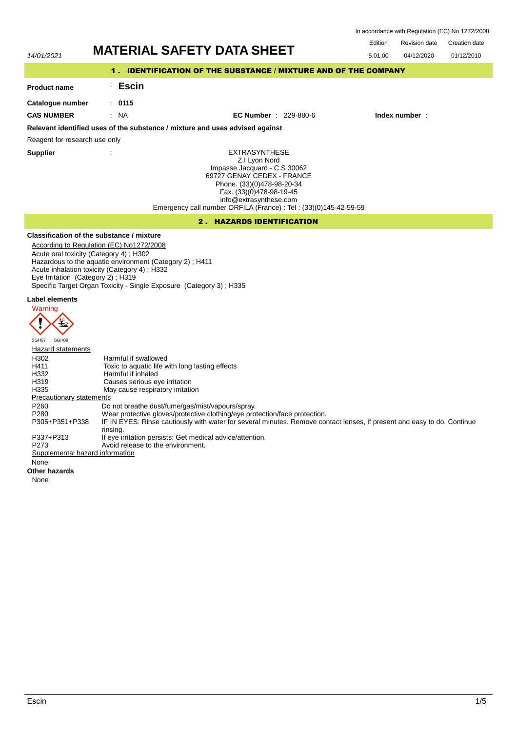In accordance with Regulation (EC) No 1272/2008

Edition Revision date Creation date

# 14/01/2021 **MATERIAL SAFETY DATA SHEET**

| 14/01/2021                                                      |                   | MAI ERIAL SAFETT DATA SHEET                                                                                                                                                                                                                                  | 5.01.00 | 04/12/2020    | 01/12/2010 |  |  |
|-----------------------------------------------------------------|-------------------|--------------------------------------------------------------------------------------------------------------------------------------------------------------------------------------------------------------------------------------------------------------|---------|---------------|------------|--|--|
| 1. IDENTIFICATION OF THE SUBSTANCE / MIXTURE AND OF THE COMPANY |                   |                                                                                                                                                                                                                                                              |         |               |            |  |  |
| <b>Product name</b>                                             | <b>Escin</b>      |                                                                                                                                                                                                                                                              |         |               |            |  |  |
| Catalogue number                                                | $\therefore$ 0115 |                                                                                                                                                                                                                                                              |         |               |            |  |  |
| <b>CAS NUMBER</b>                                               | : NA              | <b>EC Number</b> : $229-880-6$                                                                                                                                                                                                                               |         | Index number: |            |  |  |
|                                                                 |                   | Relevant identified uses of the substance / mixture and uses advised against                                                                                                                                                                                 |         |               |            |  |  |
| Reagent for research use only                                   |                   |                                                                                                                                                                                                                                                              |         |               |            |  |  |
| <b>Supplier</b>                                                 |                   | <b>EXTRASYNTHESE</b><br>Z.I Lyon Nord<br>Impasse Jacquard - C.S 30062<br>69727 GENAY CEDEX - FRANCE<br>Phone. (33)(0)478-98-20-34<br>Fax. (33)(0)478-98-19-45<br>info@extrasynthese.com<br>Emergency call number ORFILA (France) : Tel : (33)(0)145-42-59-59 |         |               |            |  |  |
|                                                                 |                   |                                                                                                                                                                                                                                                              |         |               |            |  |  |

# 2 . HAZARDS IDENTIFICATION

# **Classification of the substance / mixture**

- According to Regulation (EC) No1272/2008
- Acute oral toxicity (Category 4) ; H302
- Hazardous to the aquatic environment (Category 2) ; H411
- Acute inhalation toxicity (Category 4) ; H332 Eye Irritation (Category 2) ; H319
- Specific Target Organ Toxicity Single Exposure (Category 3) ; H335

# **Label elements**



| Hazard statements               |                                                                                                                         |
|---------------------------------|-------------------------------------------------------------------------------------------------------------------------|
| H302                            | Harmful if swallowed                                                                                                    |
| H411                            | Toxic to aquatic life with long lasting effects                                                                         |
| H332                            | Harmful if inhaled                                                                                                      |
| H319                            | Causes serious eye irritation                                                                                           |
| H335                            | May cause respiratory irritation                                                                                        |
| <b>Precautionary statements</b> |                                                                                                                         |
| P <sub>260</sub>                | Do not breathe dust/fume/gas/mist/vapours/spray.                                                                        |
| P <sub>280</sub>                | Wear protective gloves/protective clothing/eye protection/face protection.                                              |
| P305+P351+P338                  | IF IN EYES: Rinse cautiously with water for several minutes. Remove contact lenses, if present and easy to do. Continue |
|                                 | rinsing.                                                                                                                |
| P337+P313                       | If eye irritation persists: Get medical advice/attention.                                                               |
| P273                            | Avoid release to the environment.                                                                                       |
| Supplemental hazard information |                                                                                                                         |
| None                            |                                                                                                                         |

# **Other hazards**

None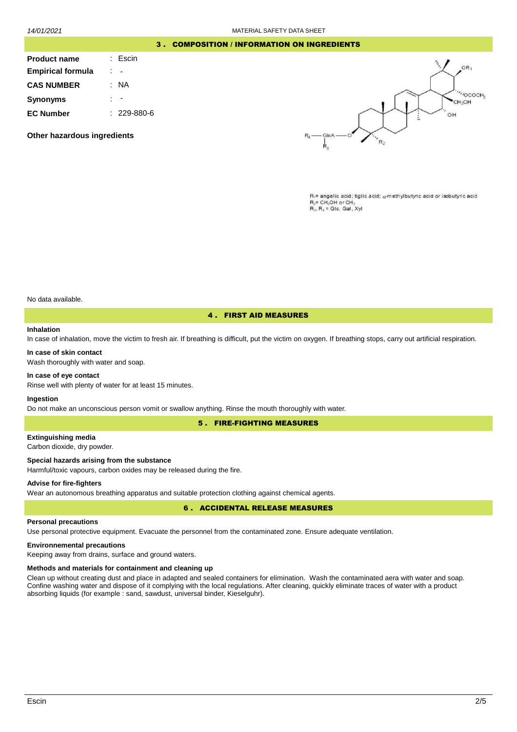# 3 . COMPOSITION / INFORMATION ON INGREDIENTS

| <b>Product name</b>      | : Escin           |
|--------------------------|-------------------|
| <b>Empirical formula</b> |                   |
| <b>CAS NUMBER</b>        | ΝA                |
| <b>Synonyms</b>          |                   |
| <b>EC Number</b>         | $: 229 - 880 - 6$ |

**Other hazardous ingredients**



 $R_1$ = angelic acid; tiglic acid;  $\alpha$ -methylbutyric acid or isobutyric acid  $R_2$ = CH<sub>2</sub>OH or CH  $R_1$ ,  $R_2$  = Glc, Gal,  $Xv$ 

No data available.

# 4 . FIRST AID MEASURES

#### **Inhalation**

In case of inhalation, move the victim to fresh air. If breathing is difficult, put the victim on oxygen. If breathing stops, carry out artificial respiration.

#### **In case of skin contact**

Wash thoroughly with water and soap.

# **In case of eye contact**

Rinse well with plenty of water for at least 15 minutes.

# **Ingestion**

Do not make an unconscious person vomit or swallow anything. Rinse the mouth thoroughly with water.

5 . FIRE-FIGHTING MEASURES

# **Extinguishing media**

Carbon dioxide, dry powder.

### **Special hazards arising from the substance**

Harmful/toxic vapours, carbon oxides may be released during the fire.

#### **Advise for fire-fighters**

Wear an autonomous breathing apparatus and suitable protection clothing against chemical agents.

# 6 . ACCIDENTAL RELEASE MEASURES

#### **Personal precautions**

Use personal protective equipment. Evacuate the personnel from the contaminated zone. Ensure adequate ventilation.

# **Environnemental precautions**

Keeping away from drains, surface and ground waters.

# **Methods and materials for containment and cleaning up**

Clean up without creating dust and place in adapted and sealed containers for elimination. Wash the contaminated aera with water and soap. Confine washing water and dispose of it complying with the local regulations. After cleaning, quickly eliminate traces of water with a product absorbing liquids (for example : sand, sawdust, universal binder, Kieselguhr).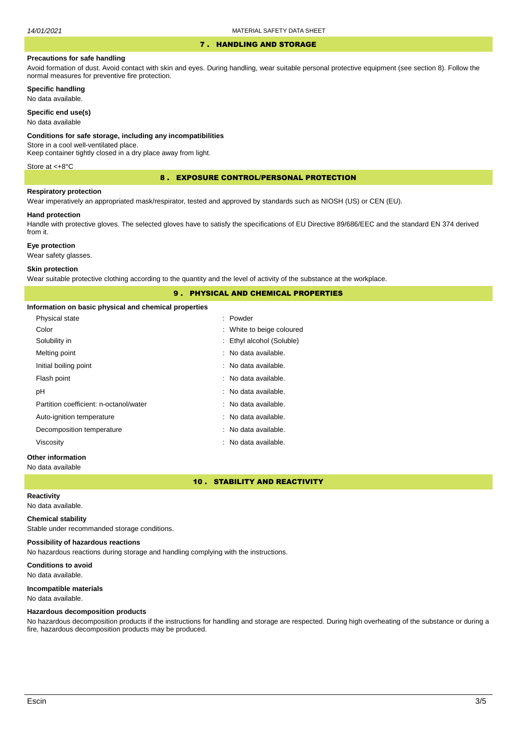# 7 . HANDLING AND STORAGE

#### **Precautions for safe handling**

Avoid formation of dust. Avoid contact with skin and eyes. During handling, wear suitable personal protective equipment (see section 8). Follow the normal measures for preventive fire protection.

**Specific handling**

No data available.

**Specific end use(s)**

No data available

#### **Conditions for safe storage, including any incompatibilities**

Store in a cool well-ventilated place.

Keep container tightly closed in a dry place away from light.

Store at <+8°C

8 . EXPOSURE CONTROL/PERSONAL PROTECTION

#### **Respiratory protection**

Wear imperatively an appropriated mask/respirator, tested and approved by standards such as NIOSH (US) or CEN (EU).

#### **Hand protection**

Handle with protective gloves. The selected gloves have to satisfy the specifications of EU Directive 89/686/EEC and the standard EN 374 derived from it.

# **Eye protection**

Wear safety glasses.

#### **Skin protection**

Wear suitable protective clothing according to the quantity and the level of activity of the substance at the workplace.

# 9 . PHYSICAL AND CHEMICAL PROPERTIES

# **Information on basic physical and chemical properties**

| iliyi matiyir vir basiy pirysiyar anu çilgimcar properties |                           |
|------------------------------------------------------------|---------------------------|
| Physical state                                             | : Powder                  |
| Color                                                      | : White to beige coloured |
| Solubility in                                              | : Ethyl alcohol (Soluble) |
| Melting point                                              | : No data available.      |
| Initial boiling point                                      | : No data available.      |
| Flash point                                                | : No data available.      |
| рH                                                         | : No data available.      |
| Partition coefficient: n-octanol/water                     | : No data available.      |
| Auto-ignition temperature                                  | : No data available.      |
| Decomposition temperature                                  | : No data available.      |
| Viscosity                                                  | : No data available.      |
|                                                            |                           |

# **Other information**

#### No data available

# 10 . STABILITY AND REACTIVITY

# **Reactivity**

No data available.

# **Chemical stability**

Stable under recommanded storage conditions.

# **Possibility of hazardous reactions**

No hazardous reactions during storage and handling complying with the instructions.

**Conditions to avoid** No data available.

# **Incompatible materials**

No data available.

# **Hazardous decomposition products**

No hazardous decomposition products if the instructions for handling and storage are respected. During high overheating of the substance or during a fire, hazardous decomposition products may be produced.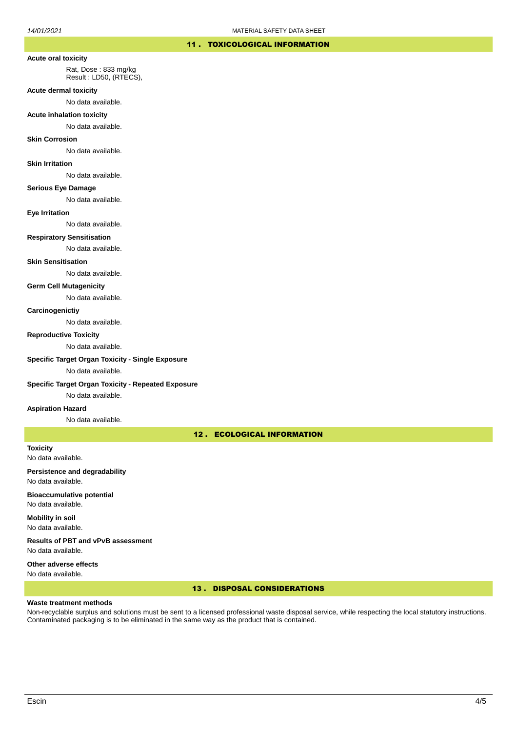# 11 . TOXICOLOGICAL INFORMATION

#### **Acute oral toxicity**

Rat, Dose : 833 mg/kg Result : LD50, (RTECS),

#### **Acute dermal toxicity**

No data available.

#### **Acute inhalation toxicity**

No data available.

#### **Skin Corrosion**

No data available.

#### **Skin Irritation**

No data available.

# **Serious Eye Damage**

No data available.

#### **Eye Irritation**

No data available.

### **Respiratory Sensitisation**

No data available.

### **Skin Sensitisation**

No data available.

# **Germ Cell Mutagenicity**

No data available.

# **Carcinogenictiy**

No data available.

#### **Reproductive Toxicity**

No data available.

### **Specific Target Organ Toxicity - Single Exposure**

No data available.

# **Specific Target Organ Toxicity - Repeated Exposure**

No data available.

#### **Aspiration Hazard**

No data available.

# 12 . ECOLOGICAL INFORMATION

**Toxicity** No data available.

# **Persistence and degradability** No data available.

**Bioaccumulative potential** No data available.

**Mobility in soil** No data available.

**Results of PBT and vPvB assessment** No data available.

### **Other adverse effects** No data available.

# 13 . DISPOSAL CONSIDERATIONS

# **Waste treatment methods**

Non-recyclable surplus and solutions must be sent to a licensed professional waste disposal service, while respecting the local statutory instructions. Contaminated packaging is to be eliminated in the same way as the product that is contained.